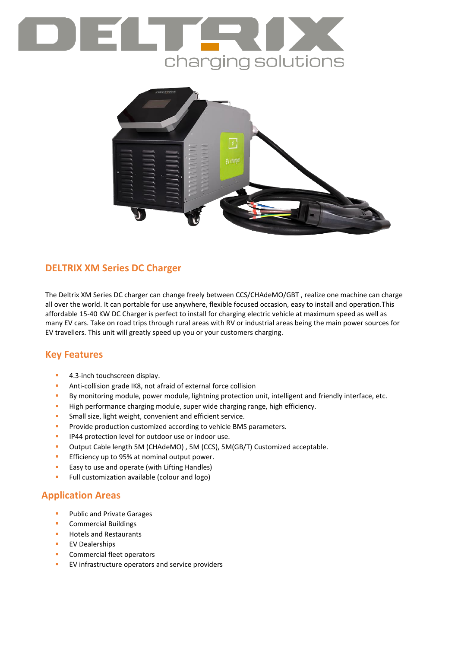# charging solutions



## **DELTRIX XM Series DC Charger**

The Deltrix XM Series DC charger can change freely between CCS/CHAdeMO/GBT , realize one machine can charge all over the world. It can portable for use anywhere, flexible focused occasion, easy to install and operation.This affordable 15-40 KW DC Charger is perfect to install for charging electric vehicle at maximum speed as well as many EV cars. Take on road trips through rural areas with RV or industrial areas being the main power sources for EV travellers. This unit will greatly speed up you or your customers charging.

### **Key Features**

- 4.3-inch touchscreen display.
- **Anti-collision grade IK8, not afraid of external force collision**
- By monitoring module, power module, lightning protection unit, intelligent and friendly interface, etc.
- **High performance charging module, super wide charging range, high efficiency.**
- **Small size, light weight, convenient and efficient service.**
- **Provide production customized according to vehicle BMS parameters.**
- **IP44 protection level for outdoor use or indoor use.**
- Output Cable length 5M (CHAdeMO) , 5M (CCS), 5M(GB/T) Customized acceptable.
- **Efficiency up to 95% at nominal output power.**
- **Easy to use and operate (with Lifting Handles)**
- **Full customization available (colour and logo)**

### **Application Areas**

- Public and Private Garages
- **Commercial Buildings**
- Hotels and Restaurants
- **EV Dealerships**
- **Commercial fleet operators**
- **EV** infrastructure operators and service providers